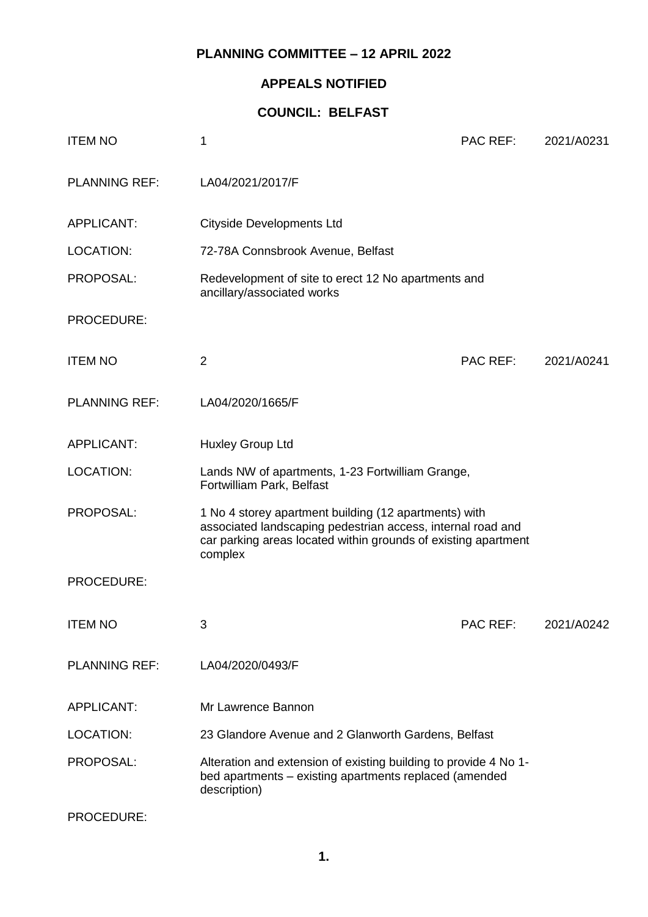### **PLANNING COMMITTEE – 12 APRIL 2022**

## **APPEALS NOTIFIED**

## **COUNCIL: BELFAST**

| <b>ITEM NO</b>       | 1                                                                                                                                                                                                 | <b>PAC REF:</b> | 2021/A0231 |
|----------------------|---------------------------------------------------------------------------------------------------------------------------------------------------------------------------------------------------|-----------------|------------|
| <b>PLANNING REF:</b> | LA04/2021/2017/F                                                                                                                                                                                  |                 |            |
| <b>APPLICANT:</b>    | <b>Cityside Developments Ltd</b>                                                                                                                                                                  |                 |            |
| <b>LOCATION:</b>     | 72-78A Connsbrook Avenue, Belfast                                                                                                                                                                 |                 |            |
| PROPOSAL:            | Redevelopment of site to erect 12 No apartments and<br>ancillary/associated works                                                                                                                 |                 |            |
| PROCEDURE:           |                                                                                                                                                                                                   |                 |            |
| <b>ITEM NO</b>       | $\overline{2}$                                                                                                                                                                                    | <b>PAC REF:</b> | 2021/A0241 |
| <b>PLANNING REF:</b> | LA04/2020/1665/F                                                                                                                                                                                  |                 |            |
| <b>APPLICANT:</b>    | Huxley Group Ltd                                                                                                                                                                                  |                 |            |
| <b>LOCATION:</b>     | Lands NW of apartments, 1-23 Fortwilliam Grange,<br>Fortwilliam Park, Belfast                                                                                                                     |                 |            |
| PROPOSAL:            | 1 No 4 storey apartment building (12 apartments) with<br>associated landscaping pedestrian access, internal road and<br>car parking areas located within grounds of existing apartment<br>complex |                 |            |
| PROCEDURE:           |                                                                                                                                                                                                   |                 |            |
| <b>ITEM NO</b>       | 3                                                                                                                                                                                                 | PAC REF:        | 2021/A0242 |
| <b>PLANNING REF:</b> | LA04/2020/0493/F                                                                                                                                                                                  |                 |            |
| <b>APPLICANT:</b>    | Mr Lawrence Bannon                                                                                                                                                                                |                 |            |
| LOCATION:            | 23 Glandore Avenue and 2 Glanworth Gardens, Belfast                                                                                                                                               |                 |            |
| PROPOSAL:            | Alteration and extension of existing building to provide 4 No 1-<br>bed apartments - existing apartments replaced (amended<br>description)                                                        |                 |            |
| PROCEDURE:           |                                                                                                                                                                                                   |                 |            |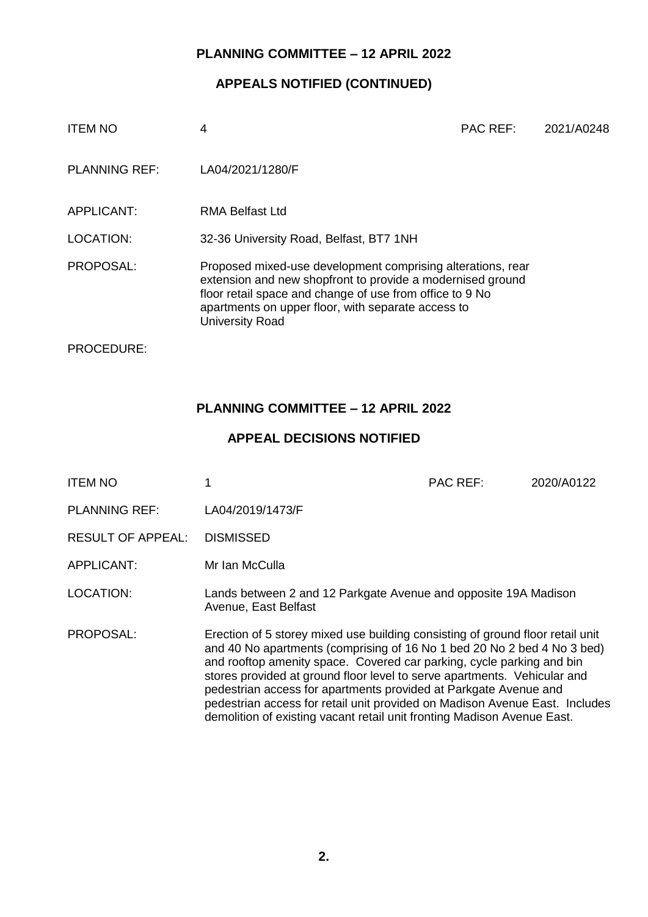#### **PLANNING COMMITTEE – 12 APRIL 2022**

#### **APPEALS NOTIFIED (CONTINUED)**

| <b>ITEM NO</b>       | 4                                                                                                                                                                                                                                                                     | <b>PAC REF:</b> | 2021/A0248 |
|----------------------|-----------------------------------------------------------------------------------------------------------------------------------------------------------------------------------------------------------------------------------------------------------------------|-----------------|------------|
| <b>PLANNING REF:</b> | LA04/2021/1280/F                                                                                                                                                                                                                                                      |                 |            |
| APPLICANT:           | RMA Belfast Ltd                                                                                                                                                                                                                                                       |                 |            |
| LOCATION:            | 32-36 University Road, Belfast, BT7 1NH                                                                                                                                                                                                                               |                 |            |
| PROPOSAL:            | Proposed mixed-use development comprising alterations, rear<br>extension and new shopfront to provide a modernised ground<br>floor retail space and change of use from office to 9 No<br>apartments on upper floor, with separate access to<br><b>University Road</b> |                 |            |
| PROCEDURE:           |                                                                                                                                                                                                                                                                       |                 |            |

#### **PLANNING COMMITTEE – 12 APRIL 2022**

#### **APPEAL DECISIONS NOTIFIED**

ITEM NO 1 PAC REF: 2020/A0122 PLANNING REF: LA04/2019/1473/F RESULT OF APPEAL: DISMISSED APPLICANT: Mr Ian McCulla LOCATION: Lands between 2 and 12 Parkgate Avenue and opposite 19A Madison Avenue, East Belfast PROPOSAL: Erection of 5 storey mixed use building consisting of ground floor retail unit and 40 No apartments (comprising of 16 No 1 bed 20 No 2 bed 4 No 3 bed) and rooftop amenity space. Covered car parking, cycle parking and bin stores provided at ground floor level to serve apartments. Vehicular and pedestrian access for apartments provided at Parkgate Avenue and pedestrian access for retail unit provided on Madison Avenue East. Includes demolition of existing vacant retail unit fronting Madison Avenue East.